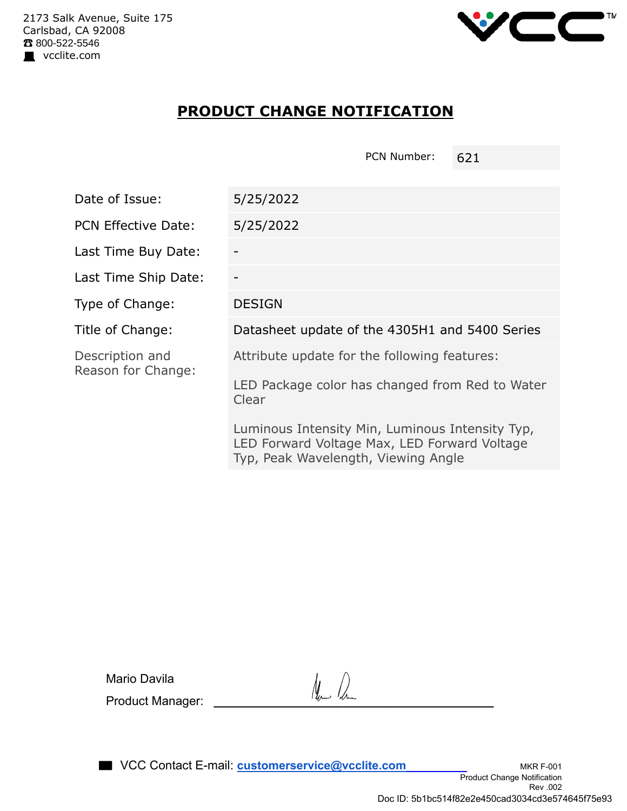

## **PRODUCT CHANGE NOTIFICATION**

PCN Number: 621

| Date of Issue:                        | 5/25/2022                                                                                                                              |  |  |
|---------------------------------------|----------------------------------------------------------------------------------------------------------------------------------------|--|--|
| <b>PCN Effective Date:</b>            | 5/25/2022                                                                                                                              |  |  |
| Last Time Buy Date:                   |                                                                                                                                        |  |  |
| Last Time Ship Date:                  |                                                                                                                                        |  |  |
| Type of Change:                       | <b>DESIGN</b>                                                                                                                          |  |  |
| Title of Change:                      | Datasheet update of the 4305H1 and 5400 Series                                                                                         |  |  |
| Description and<br>Reason for Change: | Attribute update for the following features:                                                                                           |  |  |
|                                       | LED Package color has changed from Red to Water<br>Clear                                                                               |  |  |
|                                       | Luminous Intensity Min, Luminous Intensity Typ,<br>LED Forward Voltage Max, LED Forward Voltage<br>Typ, Peak Wavelength, Viewing Angle |  |  |

Mario Davila

Product Manager: **\_\_\_\_\_\_\_\_\_\_\_\_\_\_\_\_\_\_\_\_\_\_\_\_\_\_\_\_\_\_\_\_\_\_\_\_\_\_\_\_\_**

**NOCC** Contact E-mail: **customerservice@vcclite.com** MKR F-001